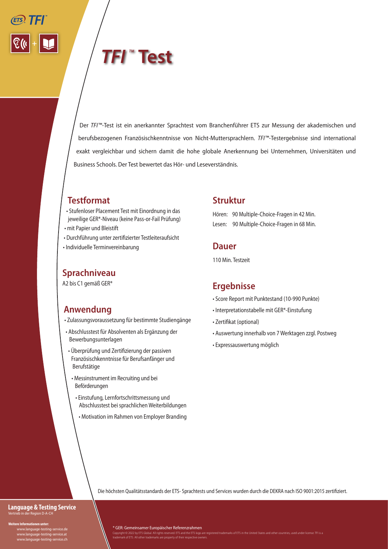# **TFI** ™Test

Der *TFI™-*Test ist ein anerkannter Sprachtest vom Branchenführer ETS zur Messung der akademischen und berufsbezogenen Französischkenntnisse von Nicht-Muttersprachlern. *TFI™-*Testergebnisse sind international exakt vergleichbar und sichern damit die hohe globale Anerkennung bei Unternehmen, Universitäten und Business Schools. Der Test bewertet das Hör- und Leseverständnis.

# **Testformat**

- Stufenloser Placement Test mit Einordnung in das jeweilige GER\*-Niveau (keine Pass-or-Fail Prüfung)
- mit Papier und Bleistift
- Durchführung unter zertifizierter Testleiteraufsicht • Individuelle Terminvereinbarung
- 

### **Sprachniveau**

A2 bis C1 gemäß GER\*

## **Anwendung**

- Zulassungsvoraussetzung für bestimmte Studiengänge
- Abschlusstest für Absolventen als Ergänzung der Bewerbungsunterlagen
- Überprüfung und Zertifizierung der passiven Französischkenntnisse für Berufsanfänger und Berufstätige
- Messinstrument im Recruiting und bei Beförderungen
	- Einstufung, Lernfortschrittsmessung und Abschlusstest bei sprachlichen Weiterbildungen
		- Motivation im Rahmen von Employer Branding

#### **Struktur**

Hören: 90 Multiple-Choice-Fragen in 42 Min. Lesen: 90 Multiple-Choice-Fragen in 68 Min.

#### **Dauer**

110 Min. Testzeit

#### **Ergebnisse**

- Score Report mit Punktestand (10-990 Punkte)
- Interpretationstabelle mit GER\*-Einstufung
- Zertifikat (optional)
- Auswertung innerhalb von 7 Werktagen zzgl. Postweg
- Expressauswertung möglich

Die höchsten Qualitätsstandards der ETS- Sprachtests und Services wurden durch die DEKRA nach ISO 9001:2015 zertifiziert.

#### **Language & Testing Service** Vertrieb in der Region D-A-CH

**Weitere Informationen unter:**

 www.language-testing-service.de www.language-testing-service.at www.language-testing-service.ch \* GER: Gemeinsamer Europäischer Referenzrahmen

Copyright © 2022 by ETS Global. All rights reserved. ETS and the ETS logo are registered trademarks of ETS in the United States and other countries, used under license. TFI is a<br>trademark of ETS. All other trademarks are p